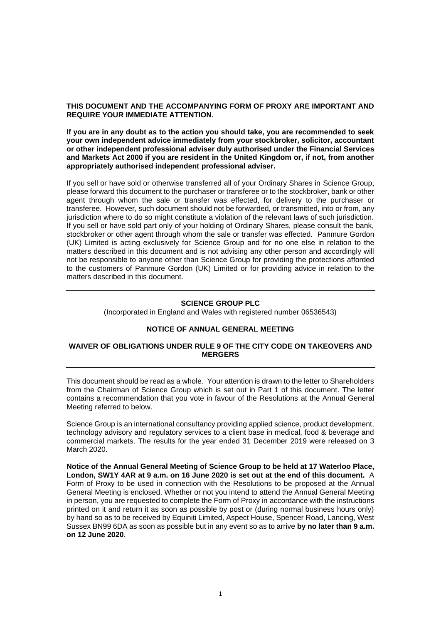## **THIS DOCUMENT AND THE ACCOMPANYING FORM OF PROXY ARE IMPORTANT AND REQUIRE YOUR IMMEDIATE ATTENTION.**

**If you are in any doubt as to the action you should take, you are recommended to seek your own independent advice immediately from your stockbroker, solicitor, accountant or other independent professional adviser duly authorised under the Financial Services and Markets Act 2000 if you are resident in the United Kingdom or, if not, from another appropriately authorised independent professional adviser.**

If you sell or have sold or otherwise transferred all of your Ordinary Shares in Science Group, please forward this document to the purchaser or transferee or to the stockbroker, bank or other agent through whom the sale or transfer was effected, for delivery to the purchaser or transferee. However, such document should not be forwarded, or transmitted, into or from, any jurisdiction where to do so might constitute a violation of the relevant laws of such jurisdiction. If you sell or have sold part only of your holding of Ordinary Shares, please consult the bank, stockbroker or other agent through whom the sale or transfer was effected. Panmure Gordon (UK) Limited is acting exclusively for Science Group and for no one else in relation to the matters described in this document and is not advising any other person and accordingly will not be responsible to anyone other than Science Group for providing the protections afforded to the customers of Panmure Gordon (UK) Limited or for providing advice in relation to the matters described in this document.

#### **SCIENCE GROUP PLC**

(Incorporated in England and Wales with registered number 06536543)

## **NOTICE OF ANNUAL GENERAL MEETING**

#### **WAIVER OF OBLIGATIONS UNDER RULE 9 OF THE CITY CODE ON TAKEOVERS AND MERGERS**

This document should be read as a whole. Your attention is drawn to the letter to Shareholders from the Chairman of Science Group which is set out in Part 1 of this document. The letter contains a recommendation that you vote in favour of the Resolutions at the Annual General Meeting referred to below.

Science Group is an international consultancy providing applied science, product development, technology advisory and regulatory services to a client base in medical, food & beverage and commercial markets. The results for the year ended 31 December 2019 were released on 3 March 2020.

**Notice of the Annual General Meeting of Science Group to be held at 17 Waterloo Place, London, SW1Y 4AR at 9 a.m. on 16 June 2020 is set out at the end of this document.** A Form of Proxy to be used in connection with the Resolutions to be proposed at the Annual General Meeting is enclosed. Whether or not you intend to attend the Annual General Meeting in person, you are requested to complete the Form of Proxy in accordance with the instructions printed on it and return it as soon as possible by post or (during normal business hours only) by hand so as to be received by Equiniti Limited, Aspect House, Spencer Road, Lancing, West Sussex BN99 6DA as soon as possible but in any event so as to arrive **by no later than 9 a.m. on 12 June 2020**.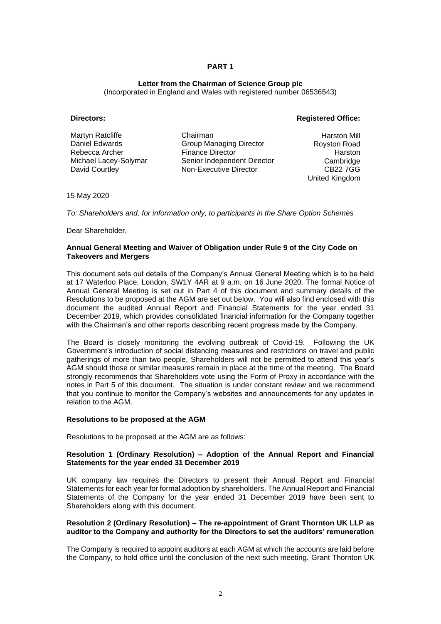## **Letter from the Chairman of Science Group plc**

(Incorporated in England and Wales with registered number 06536543)

## **Directors: Registered Office:**

| Martyn Ratcliffe      | Chairman                       | <b>Harston Mill</b> |
|-----------------------|--------------------------------|---------------------|
| Daniel Edwards        | <b>Group Managing Director</b> | Royston Road        |
| Rebecca Archer        | <b>Finance Director</b>        | Harston             |
| Michael Lacey-Solymar | Senior Independent Director    | Cambridge           |
| David Courtley        | Non-Executive Director         | CB22 7GG            |
|                       |                                | United Kingdom      |

15 May 2020

*To: Shareholders and, for information only, to participants in the Share Option Schemes*

Dear Shareholder,

#### **Annual General Meeting and Waiver of Obligation under Rule 9 of the City Code on Takeovers and Mergers**

This document sets out details of the Company's Annual General Meeting which is to be held at 17 Waterloo Place, London, SW1Y 4AR at 9 a.m. on 16 June 2020. The formal Notice of Annual General Meeting is set out in Part 4 of this document and summary details of the Resolutions to be proposed at the AGM are set out below. You will also find enclosed with this document the audited Annual Report and Financial Statements for the year ended 31 December 2019, which provides consolidated financial information for the Company together with the Chairman's and other reports describing recent progress made by the Company.

The Board is closely monitoring the evolving outbreak of Covid-19. Following the UK Government's introduction of social distancing measures and restrictions on travel and public gatherings of more than two people, Shareholders will not be permitted to attend this year's AGM should those or similar measures remain in place at the time of the meeting. The Board strongly recommends that Shareholders vote using the Form of Proxy in accordance with the notes in Part 5 of this document. The situation is under constant review and we recommend that you continue to monitor the Company's websites and announcements for any updates in relation to the AGM.

#### **Resolutions to be proposed at the AGM**

Resolutions to be proposed at the AGM are as follows:

#### **Resolution 1 (Ordinary Resolution) – Adoption of the Annual Report and Financial Statements for the year ended 31 December 2019**

UK company law requires the Directors to present their Annual Report and Financial Statements for each year for formal adoption by shareholders. The Annual Report and Financial Statements of the Company for the year ended 31 December 2019 have been sent to Shareholders along with this document.

## **Resolution 2 (Ordinary Resolution) – The re-appointment of Grant Thornton UK LLP as auditor to the Company and authority for the Directors to set the auditors' remuneration**

The Company is required to appoint auditors at each AGM at which the accounts are laid before the Company, to hold office until the conclusion of the next such meeting. Grant Thornton UK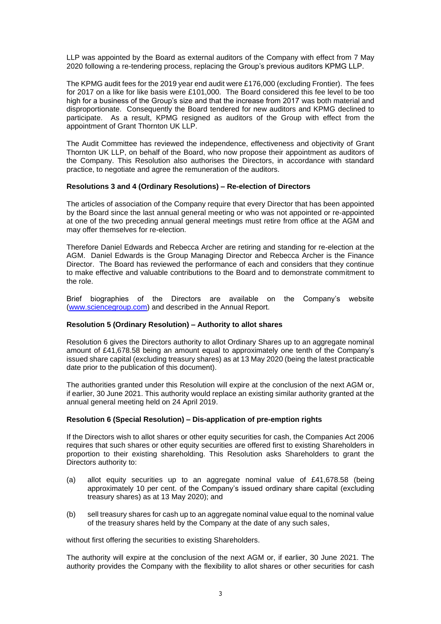LLP was appointed by the Board as external auditors of the Company with effect from 7 May 2020 following a re-tendering process, replacing the Group's previous auditors KPMG LLP.

The KPMG audit fees for the 2019 year end audit were £176,000 (excluding Frontier). The fees for 2017 on a like for like basis were £101,000. The Board considered this fee level to be too high for a business of the Group's size and that the increase from 2017 was both material and disproportionate. Consequently the Board tendered for new auditors and KPMG declined to participate. As a result, KPMG resigned as auditors of the Group with effect from the appointment of Grant Thornton UK LLP.

The Audit Committee has reviewed the independence, effectiveness and objectivity of Grant Thornton UK LLP, on behalf of the Board, who now propose their appointment as auditors of the Company. This Resolution also authorises the Directors, in accordance with standard practice, to negotiate and agree the remuneration of the auditors.

#### **Resolutions 3 and 4 (Ordinary Resolutions) – Re-election of Directors**

The articles of association of the Company require that every Director that has been appointed by the Board since the last annual general meeting or who was not appointed or re-appointed at one of the two preceding annual general meetings must retire from office at the AGM and may offer themselves for re-election.

Therefore Daniel Edwards and Rebecca Archer are retiring and standing for re-election at the AGM. Daniel Edwards is the Group Managing Director and Rebecca Archer is the Finance Director. The Board has reviewed the performance of each and considers that they continue to make effective and valuable contributions to the Board and to demonstrate commitment to the role.

Brief biographies of the Directors are available on the Company's website [\(www.sciencegroup.com\)](http://www.sciencegroup.com/) and described in the Annual Report.

#### **Resolution 5 (Ordinary Resolution) – Authority to allot shares**

Resolution 6 gives the Directors authority to allot Ordinary Shares up to an aggregate nominal amount of £41,678.58 being an amount equal to approximately one tenth of the Company's issued share capital (excluding treasury shares) as at 13 May 2020 (being the latest practicable date prior to the publication of this document).

The authorities granted under this Resolution will expire at the conclusion of the next AGM or, if earlier, 30 June 2021. This authority would replace an existing similar authority granted at the annual general meeting held on 24 April 2019.

## **Resolution 6 (Special Resolution) – Dis-application of pre-emption rights**

If the Directors wish to allot shares or other equity securities for cash, the Companies Act 2006 requires that such shares or other equity securities are offered first to existing Shareholders in proportion to their existing shareholding. This Resolution asks Shareholders to grant the Directors authority to:

- (a) allot equity securities up to an aggregate nominal value of £41,678.58 (being approximately 10 per cent. of the Company's issued ordinary share capital (excluding treasury shares) as at 13 May 2020); and
- (b) sell treasury shares for cash up to an aggregate nominal value equal to the nominal value of the treasury shares held by the Company at the date of any such sales,

without first offering the securities to existing Shareholders.

The authority will expire at the conclusion of the next AGM or, if earlier, 30 June 2021. The authority provides the Company with the flexibility to allot shares or other securities for cash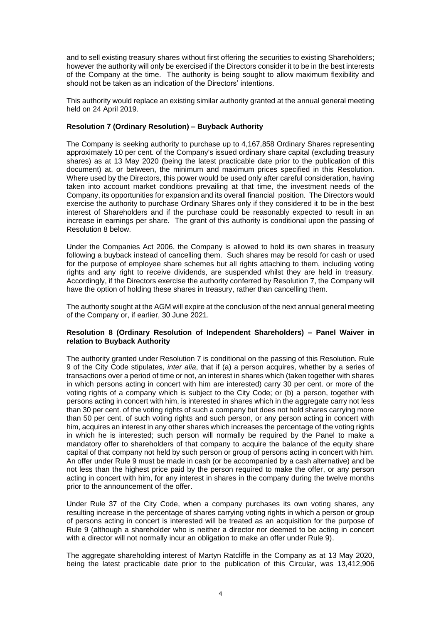and to sell existing treasury shares without first offering the securities to existing Shareholders; however the authority will only be exercised if the Directors consider it to be in the best interests of the Company at the time. The authority is being sought to allow maximum flexibility and should not be taken as an indication of the Directors' intentions.

This authority would replace an existing similar authority granted at the annual general meeting held on 24 April 2019.

#### **Resolution 7 (Ordinary Resolution) – Buyback Authority**

The Company is seeking authority to purchase up to 4,167,858 Ordinary Shares representing approximately 10 per cent. of the Company's issued ordinary share capital (excluding treasury shares) as at 13 May 2020 (being the latest practicable date prior to the publication of this document) at, or between, the minimum and maximum prices specified in this Resolution. Where used by the Directors, this power would be used only after careful consideration, having taken into account market conditions prevailing at that time, the investment needs of the Company, its opportunities for expansion and its overall financial position. The Directors would exercise the authority to purchase Ordinary Shares only if they considered it to be in the best interest of Shareholders and if the purchase could be reasonably expected to result in an increase in earnings per share. The grant of this authority is conditional upon the passing of Resolution 8 below.

Under the Companies Act 2006, the Company is allowed to hold its own shares in treasury following a buyback instead of cancelling them. Such shares may be resold for cash or used for the purpose of employee share schemes but all rights attaching to them, including voting rights and any right to receive dividends, are suspended whilst they are held in treasury. Accordingly, if the Directors exercise the authority conferred by Resolution 7, the Company will have the option of holding these shares in treasury, rather than cancelling them.

The authority sought at the AGM will expire at the conclusion of the next annual general meeting of the Company or, if earlier, 30 June 2021.

## **Resolution 8 (Ordinary Resolution of Independent Shareholders) – Panel Waiver in relation to Buyback Authority**

The authority granted under Resolution 7 is conditional on the passing of this Resolution. Rule 9 of the City Code stipulates, *inter alia*, that if (a) a person acquires, whether by a series of transactions over a period of time or not, an interest in shares which (taken together with shares in which persons acting in concert with him are interested) carry 30 per cent. or more of the voting rights of a company which is subject to the City Code; or (b) a person, together with persons acting in concert with him, is interested in shares which in the aggregate carry not less than 30 per cent. of the voting rights of such a company but does not hold shares carrying more than 50 per cent. of such voting rights and such person, or any person acting in concert with him, acquires an interest in any other shares which increases the percentage of the voting rights in which he is interested; such person will normally be required by the Panel to make a mandatory offer to shareholders of that company to acquire the balance of the equity share capital of that company not held by such person or group of persons acting in concert with him. An offer under Rule 9 must be made in cash (or be accompanied by a cash alternative) and be not less than the highest price paid by the person required to make the offer, or any person acting in concert with him, for any interest in shares in the company during the twelve months prior to the announcement of the offer.

Under Rule 37 of the City Code, when a company purchases its own voting shares, any resulting increase in the percentage of shares carrying voting rights in which a person or group of persons acting in concert is interested will be treated as an acquisition for the purpose of Rule 9 (although a shareholder who is neither a director nor deemed to be acting in concert with a director will not normally incur an obligation to make an offer under Rule 9).

The aggregate shareholding interest of Martyn Ratcliffe in the Company as at 13 May 2020, being the latest practicable date prior to the publication of this Circular, was 13,412,906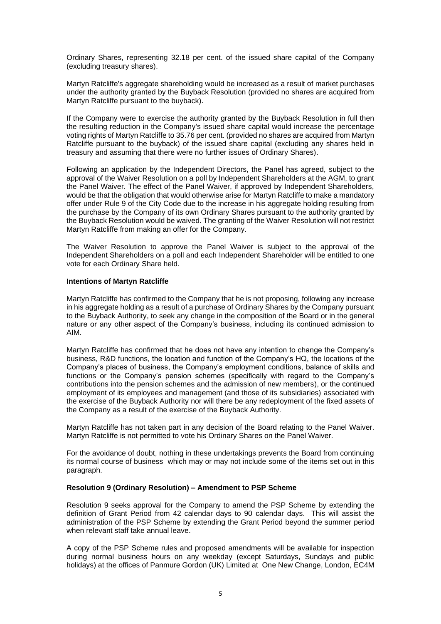Ordinary Shares, representing 32.18 per cent. of the issued share capital of the Company (excluding treasury shares).

Martyn Ratcliffe's aggregate shareholding would be increased as a result of market purchases under the authority granted by the Buyback Resolution (provided no shares are acquired from Martyn Ratcliffe pursuant to the buyback).

If the Company were to exercise the authority granted by the Buyback Resolution in full then the resulting reduction in the Company's issued share capital would increase the percentage voting rights of Martyn Ratcliffe to 35.76 per cent. (provided no shares are acquired from Martyn Ratcliffe pursuant to the buyback) of the issued share capital (excluding any shares held in treasury and assuming that there were no further issues of Ordinary Shares).

Following an application by the Independent Directors, the Panel has agreed, subject to the approval of the Waiver Resolution on a poll by Independent Shareholders at the AGM, to grant the Panel Waiver. The effect of the Panel Waiver, if approved by Independent Shareholders, would be that the obligation that would otherwise arise for Martyn Ratcliffe to make a mandatory offer under Rule 9 of the City Code due to the increase in his aggregate holding resulting from the purchase by the Company of its own Ordinary Shares pursuant to the authority granted by the Buyback Resolution would be waived. The granting of the Waiver Resolution will not restrict Martyn Ratcliffe from making an offer for the Company.

The Waiver Resolution to approve the Panel Waiver is subject to the approval of the Independent Shareholders on a poll and each Independent Shareholder will be entitled to one vote for each Ordinary Share held.

#### **Intentions of Martyn Ratcliffe**

Martyn Ratcliffe has confirmed to the Company that he is not proposing, following any increase in his aggregate holding as a result of a purchase of Ordinary Shares by the Company pursuant to the Buyback Authority, to seek any change in the composition of the Board or in the general nature or any other aspect of the Company's business, including its continued admission to AIM.

Martyn Ratcliffe has confirmed that he does not have any intention to change the Company's business, R&D functions, the location and function of the Company's HQ, the locations of the Company's places of business, the Company's employment conditions, balance of skills and functions or the Company's pension schemes (specifically with regard to the Company's contributions into the pension schemes and the admission of new members), or the continued employment of its employees and management (and those of its subsidiaries) associated with the exercise of the Buyback Authority nor will there be any redeployment of the fixed assets of the Company as a result of the exercise of the Buyback Authority.

Martyn Ratcliffe has not taken part in any decision of the Board relating to the Panel Waiver. Martyn Ratcliffe is not permitted to vote his Ordinary Shares on the Panel Waiver.

For the avoidance of doubt, nothing in these undertakings prevents the Board from continuing its normal course of business which may or may not include some of the items set out in this paragraph.

#### **Resolution 9 (Ordinary Resolution) – Amendment to PSP Scheme**

Resolution 9 seeks approval for the Company to amend the PSP Scheme by extending the definition of Grant Period from 42 calendar days to 90 calendar days. This will assist the administration of the PSP Scheme by extending the Grant Period beyond the summer period when relevant staff take annual leave.

A copy of the PSP Scheme rules and proposed amendments will be available for inspection during normal business hours on any weekday (except Saturdays, Sundays and public holidays) at the offices of Panmure Gordon (UK) Limited at One New Change, London, EC4M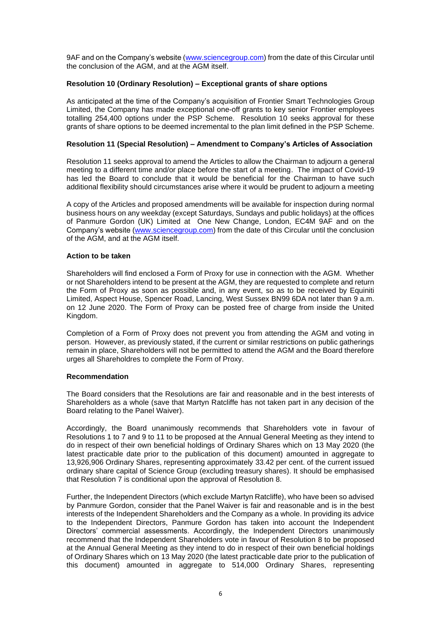9AF and on the Company's website [\(www.sciencegroup.com\)](http://www.sciencegroup.com/) from the date of this Circular until the conclusion of the AGM, and at the AGM itself.

## **Resolution 10 (Ordinary Resolution) – Exceptional grants of share options**

As anticipated at the time of the Company's acquisition of Frontier Smart Technologies Group Limited, the Company has made exceptional one-off grants to key senior Frontier employees totalling 254,400 options under the PSP Scheme. Resolution 10 seeks approval for these grants of share options to be deemed incremental to the plan limit defined in the PSP Scheme.

#### **Resolution 11 (Special Resolution) – Amendment to Company's Articles of Association**

Resolution 11 seeks approval to amend the Articles to allow the Chairman to adjourn a general meeting to a different time and/or place before the start of a meeting. The impact of Covid-19 has led the Board to conclude that it would be beneficial for the Chairman to have such additional flexibility should circumstances arise where it would be prudent to adjourn a meeting

A copy of the Articles and proposed amendments will be available for inspection during normal business hours on any weekday (except Saturdays, Sundays and public holidays) at the offices of Panmure Gordon (UK) Limited at One New Change, London, EC4M 9AF and on the Company's website [\(www.sciencegroup.com\)](http://www.sciencegroup.com/) from the date of this Circular until the conclusion of the AGM, and at the AGM itself.

#### **Action to be taken**

Shareholders will find enclosed a Form of Proxy for use in connection with the AGM. Whether or not Shareholders intend to be present at the AGM, they are requested to complete and return the Form of Proxy as soon as possible and, in any event, so as to be received by Equiniti Limited, Aspect House, Spencer Road, Lancing, West Sussex BN99 6DA not later than 9 a.m. on 12 June 2020. The Form of Proxy can be posted free of charge from inside the United Kingdom.

Completion of a Form of Proxy does not prevent you from attending the AGM and voting in person. However, as previously stated, if the current or similar restrictions on public gatherings remain in place, Shareholders will not be permitted to attend the AGM and the Board therefore urges all Shareholdres to complete the Form of Proxy.

#### **Recommendation**

The Board considers that the Resolutions are fair and reasonable and in the best interests of Shareholders as a whole (save that Martyn Ratcliffe has not taken part in any decision of the Board relating to the Panel Waiver).

Accordingly, the Board unanimously recommends that Shareholders vote in favour of Resolutions 1 to 7 and 9 to 11 to be proposed at the Annual General Meeting as they intend to do in respect of their own beneficial holdings of Ordinary Shares which on 13 May 2020 (the latest practicable date prior to the publication of this document) amounted in aggregate to 13,926,906 Ordinary Shares, representing approximately 33.42 per cent. of the current issued ordinary share capital of Science Group (excluding treasury shares). It should be emphasised that Resolution 7 is conditional upon the approval of Resolution 8.

Further, the Independent Directors (which exclude Martyn Ratcliffe), who have been so advised by Panmure Gordon, consider that the Panel Waiver is fair and reasonable and is in the best interests of the Independent Shareholders and the Company as a whole. In providing its advice to the Independent Directors, Panmure Gordon has taken into account the Independent Directors' commercial assessments. Accordingly, the Independent Directors unanimously recommend that the Independent Shareholders vote in favour of Resolution 8 to be proposed at the Annual General Meeting as they intend to do in respect of their own beneficial holdings of Ordinary Shares which on 13 May 2020 (the latest practicable date prior to the publication of this document) amounted in aggregate to 514,000 Ordinary Shares, representing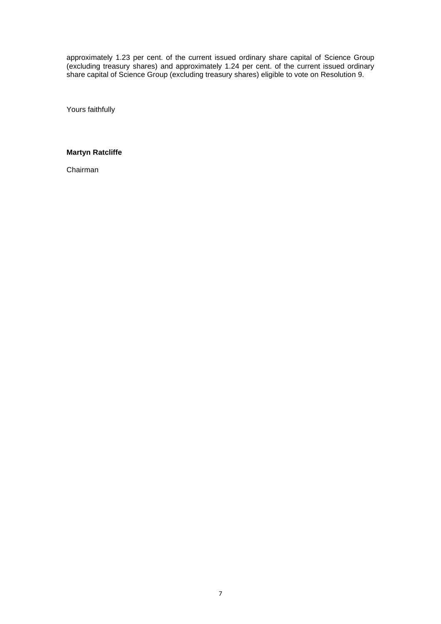approximately 1.23 per cent. of the current issued ordinary share capital of Science Group (excluding treasury shares) and approximately 1.24 per cent. of the current issued ordinary share capital of Science Group (excluding treasury shares) eligible to vote on Resolution 9.

Yours faithfully

# **Martyn Ratcliffe**

Chairman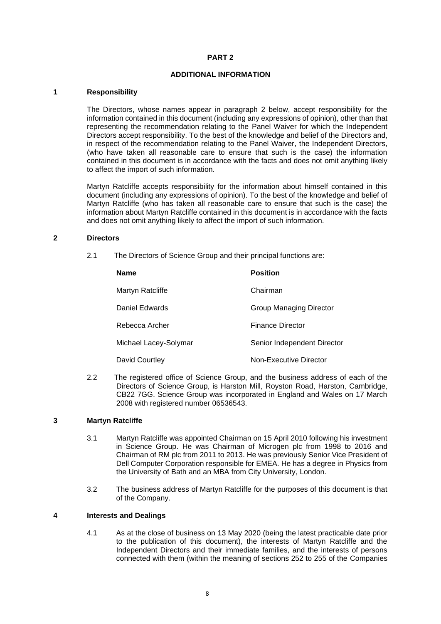## **ADDITIONAL INFORMATION**

#### **1 Responsibility**

The Directors, whose names appear in paragraph 2 below, accept responsibility for the information contained in this document (including any expressions of opinion), other than that representing the recommendation relating to the Panel Waiver for which the Independent Directors accept responsibility. To the best of the knowledge and belief of the Directors and, in respect of the recommendation relating to the Panel Waiver, the Independent Directors, (who have taken all reasonable care to ensure that such is the case) the information contained in this document is in accordance with the facts and does not omit anything likely to affect the import of such information.

Martyn Ratcliffe accepts responsibility for the information about himself contained in this document (including any expressions of opinion). To the best of the knowledge and belief of Martyn Ratcliffe (who has taken all reasonable care to ensure that such is the case) the information about Martyn Ratcliffe contained in this document is in accordance with the facts and does not omit anything likely to affect the import of such information.

#### **2 Directors**

2.1 The Directors of Science Group and their principal functions are:

| <b>Name</b>           | <b>Position</b>             |
|-----------------------|-----------------------------|
| Martyn Ratcliffe      | Chairman                    |
| Daniel Edwards        | Group Managing Director     |
| Rebecca Archer        | Finance Director            |
| Michael Lacey-Solymar | Senior Independent Director |
| David Courtley        | Non-Executive Director      |

2.2 The registered office of Science Group, and the business address of each of the Directors of Science Group, is Harston Mill, Royston Road, Harston, Cambridge, CB22 7GG. Science Group was incorporated in England and Wales on 17 March 2008 with registered number 06536543.

# **3 Martyn Ratcliffe**

- 3.1 Martyn Ratcliffe was appointed Chairman on 15 April 2010 following his investment in Science Group. He was Chairman of Microgen plc from 1998 to 2016 and Chairman of RM plc from 2011 to 2013. He was previously Senior Vice President of Dell Computer Corporation responsible for EMEA. He has a degree in Physics from the University of Bath and an MBA from City University, London.
- 3.2 The business address of Martyn Ratcliffe for the purposes of this document is that of the Company.

# **4 Interests and Dealings**

4.1 As at the close of business on 13 May 2020 (being the latest practicable date prior to the publication of this document), the interests of Martyn Ratcliffe and the Independent Directors and their immediate families, and the interests of persons connected with them (within the meaning of sections 252 to 255 of the Companies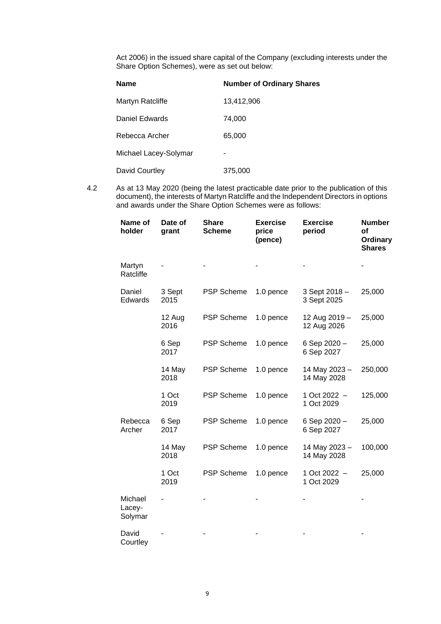Act 2006) in the issued share capital of the Company (excluding interests under the Share Option Schemes), were as set out below:

| <b>Name</b>           | <b>Number of Ordinary Shares</b> |
|-----------------------|----------------------------------|
| Martyn Ratcliffe      | 13,412,906                       |
| Daniel Edwards        | 74,000                           |
| Rebecca Archer        | 65,000                           |
| Michael Lacey-Solymar |                                  |
| David Courtley        | 375,000                          |

4.2 As at 13 May 2020 (being the latest practicable date prior to the publication of this document), the interests of Martyn Ratcliffe and the Independent Directors in options and awards under the Share Option Schemes were as follows:

| Name of<br>holder            | Date of<br>grant | <b>Share</b><br><b>Scheme</b> | <b>Exercise</b><br>price<br>(pence) | <b>Exercise</b><br>period    | <b>Number</b><br>οf<br><b>Ordinary</b><br><b>Shares</b> |
|------------------------------|------------------|-------------------------------|-------------------------------------|------------------------------|---------------------------------------------------------|
| Martyn<br>Ratcliffe          |                  |                               |                                     |                              |                                                         |
| Daniel<br>Edwards            | 3 Sept<br>2015   | <b>PSP Scheme</b>             | 1.0 pence                           | 3 Sept 2018 -<br>3 Sept 2025 | 25,000                                                  |
|                              | 12 Aug<br>2016   | <b>PSP Scheme</b>             | 1.0 pence                           | 12 Aug 2019 -<br>12 Aug 2026 | 25,000                                                  |
|                              | 6 Sep<br>2017    | <b>PSP Scheme</b>             | 1.0 pence                           | 6 Sep 2020 -<br>6 Sep 2027   | 25,000                                                  |
|                              | 14 May<br>2018   | <b>PSP Scheme</b>             | 1.0 pence                           | 14 May 2023 -<br>14 May 2028 | 250,000                                                 |
|                              | 1 Oct<br>2019    | <b>PSP Scheme</b>             | 1.0 pence                           | 1 Oct 2022 -<br>1 Oct 2029   | 125,000                                                 |
| Rebecca<br>Archer            | 6 Sep<br>2017    | <b>PSP Scheme</b>             | 1.0 pence                           | 6 Sep 2020 -<br>6 Sep 2027   | 25,000                                                  |
|                              | 14 May<br>2018   | <b>PSP Scheme</b>             | 1.0 pence                           | 14 May 2023 -<br>14 May 2028 | 100,000                                                 |
|                              | 1 Oct<br>2019    | <b>PSP Scheme</b>             | 1.0 pence                           | 1 Oct 2022 -<br>1 Oct 2029   | 25,000                                                  |
| Michael<br>Lacey-<br>Solymar |                  |                               |                                     |                              |                                                         |
| David<br>Courtley            |                  |                               |                                     |                              |                                                         |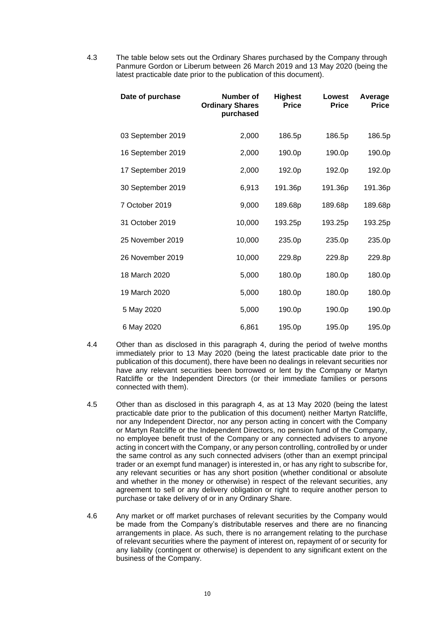4.3 The table below sets out the Ordinary Shares purchased by the Company through Panmure Gordon or Liberum between 26 March 2019 and 13 May 2020 (being the latest practicable date prior to the publication of this document).

| Date of purchase  | Number of<br><b>Ordinary Shares</b><br>purchased | <b>Highest</b><br><b>Price</b> | Lowest<br><b>Price</b> | Average<br><b>Price</b> |
|-------------------|--------------------------------------------------|--------------------------------|------------------------|-------------------------|
| 03 September 2019 | 2,000                                            | 186.5p                         | 186.5p                 | 186.5p                  |
| 16 September 2019 | 2,000                                            | 190.0p                         | 190.0p                 | 190.0p                  |
| 17 September 2019 | 2,000                                            | 192.0p                         | 192.0p                 | 192.0p                  |
| 30 September 2019 | 6,913                                            | 191.36p                        | 191.36p                | 191.36p                 |
| 7 October 2019    | 9,000                                            | 189.68p                        | 189.68p                | 189.68p                 |
| 31 October 2019   | 10,000                                           | 193.25p                        | 193.25p                | 193.25p                 |
| 25 November 2019  | 10,000                                           | 235.0p                         | 235.0p                 | 235.0p                  |
| 26 November 2019  | 10,000                                           | 229.8p                         | 229.8p                 | 229.8p                  |
| 18 March 2020     | 5,000                                            | 180.0p                         | 180.0p                 | 180.0p                  |
| 19 March 2020     | 5,000                                            | 180.0p                         | 180.0p                 | 180.0p                  |
| 5 May 2020        | 5,000                                            | 190.0p                         | 190.0p                 | 190.0p                  |
| 6 May 2020        | 6,861                                            | 195.0p                         | 195.0p                 | 195.0p                  |

- 4.4 Other than as disclosed in this paragraph 4, during the period of twelve months immediately prior to 13 May 2020 (being the latest practicable date prior to the publication of this document), there have been no dealings in relevant securities nor have any relevant securities been borrowed or lent by the Company or Martyn Ratcliffe or the Independent Directors (or their immediate families or persons connected with them).
- 4.5 Other than as disclosed in this paragraph 4, as at 13 May 2020 (being the latest practicable date prior to the publication of this document) neither Martyn Ratcliffe, nor any Independent Director, nor any person acting in concert with the Company or Martyn Ratcliffe or the Independent Directors, no pension fund of the Company, no employee benefit trust of the Company or any connected advisers to anyone acting in concert with the Company, or any person controlling, controlled by or under the same control as any such connected advisers (other than an exempt principal trader or an exempt fund manager) is interested in, or has any right to subscribe for, any relevant securities or has any short position (whether conditional or absolute and whether in the money or otherwise) in respect of the relevant securities, any agreement to sell or any delivery obligation or right to require another person to purchase or take delivery of or in any Ordinary Share.
- 4.6 Any market or off market purchases of relevant securities by the Company would be made from the Company's distributable reserves and there are no financing arrangements in place. As such, there is no arrangement relating to the purchase of relevant securities where the payment of interest on, repayment of or security for any liability (contingent or otherwise) is dependent to any significant extent on the business of the Company.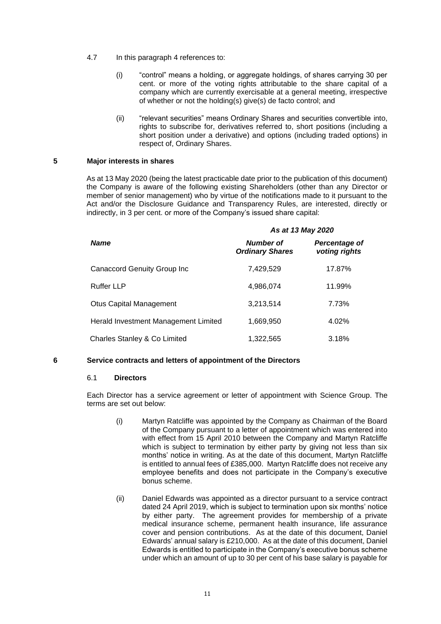- 4.7 In this paragraph 4 references to:
	- (i) "control" means a holding, or aggregate holdings, of shares carrying 30 per cent. or more of the voting rights attributable to the share capital of a company which are currently exercisable at a general meeting, irrespective of whether or not the holding(s) give(s) de facto control; and
	- (ii) "relevant securities" means Ordinary Shares and securities convertible into, rights to subscribe for, derivatives referred to, short positions (including a short position under a derivative) and options (including traded options) in respect of, Ordinary Shares.

## **5 Major interests in shares**

As at 13 May 2020 (being the latest practicable date prior to the publication of this document) the Company is aware of the following existing Shareholders (other than any Director or member of senior management) who by virtue of the notifications made to it pursuant to the Act and/or the Disclosure Guidance and Transparency Rules, are interested, directly or indirectly, in 3 per cent. or more of the Company's issued share capital:

|                                      | As at 13 May 2020                   |                                |  |
|--------------------------------------|-------------------------------------|--------------------------------|--|
| <b>Name</b>                          | Number of<br><b>Ordinary Shares</b> | Percentage of<br>voting rights |  |
| <b>Canaccord Genuity Group Inc</b>   | 7,429,529                           | 17.87%                         |  |
| <b>Ruffer LLP</b>                    | 4,986,074                           | 11.99%                         |  |
| <b>Otus Capital Management</b>       | 3,213,514                           | 7.73%                          |  |
| Herald Investment Management Limited | 1,669,950                           | 4.02%                          |  |
| Charles Stanley & Co Limited         | 1,322,565                           | 3.18%                          |  |

#### **6 Service contracts and letters of appointment of the Directors**

## 6.1 **Directors**

Each Director has a service agreement or letter of appointment with Science Group. The terms are set out below:

- (i) Martyn Ratcliffe was appointed by the Company as Chairman of the Board of the Company pursuant to a letter of appointment which was entered into with effect from 15 April 2010 between the Company and Martyn Ratcliffe which is subject to termination by either party by giving not less than six months' notice in writing. As at the date of this document, Martyn Ratcliffe is entitled to annual fees of £385,000. Martyn Ratcliffe does not receive any employee benefits and does not participate in the Company's executive bonus scheme.
- (ii) Daniel Edwards was appointed as a director pursuant to a service contract dated 24 April 2019, which is subject to termination upon six months' notice by either party. The agreement provides for membership of a private medical insurance scheme, permanent health insurance, life assurance cover and pension contributions. As at the date of this document, Daniel Edwards' annual salary is £210,000. As at the date of this document, Daniel Edwards is entitled to participate in the Company's executive bonus scheme under which an amount of up to 30 per cent of his base salary is payable for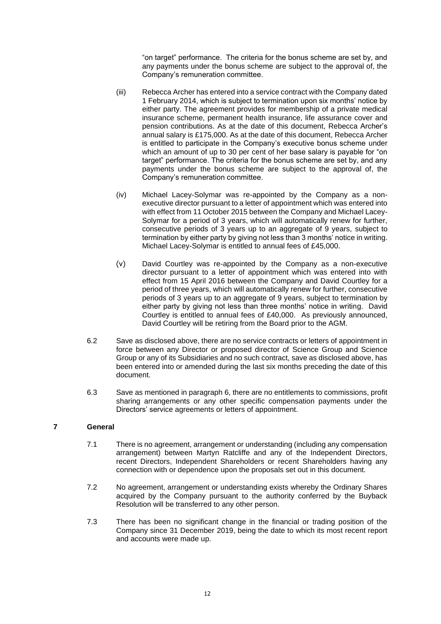"on target" performance. The criteria for the bonus scheme are set by, and any payments under the bonus scheme are subject to the approval of, the Company's remuneration committee.

- (iii) Rebecca Archer has entered into a service contract with the Company dated 1 February 2014, which is subject to termination upon six months' notice by either party. The agreement provides for membership of a private medical insurance scheme, permanent health insurance, life assurance cover and pension contributions. As at the date of this document, Rebecca Archer's annual salary is £175,000. As at the date of this document, Rebecca Archer is entitled to participate in the Company's executive bonus scheme under which an amount of up to 30 per cent of her base salary is payable for "on target" performance. The criteria for the bonus scheme are set by, and any payments under the bonus scheme are subject to the approval of, the Company's remuneration committee.
- (iv) Michael Lacey-Solymar was re-appointed by the Company as a nonexecutive director pursuant to a letter of appointment which was entered into with effect from 11 October 2015 between the Company and Michael Lacey-Solymar for a period of 3 years, which will automatically renew for further, consecutive periods of 3 years up to an aggregate of 9 years, subject to termination by either party by giving not less than 3 months' notice in writing. Michael Lacey-Solymar is entitled to annual fees of £45,000.
- (v) David Courtley was re-appointed by the Company as a non-executive director pursuant to a letter of appointment which was entered into with effect from 15 April 2016 between the Company and David Courtley for a period of three years, which will automatically renew for further, consecutive periods of 3 years up to an aggregate of 9 years, subject to termination by either party by giving not less than three months' notice in writing. David Courtley is entitled to annual fees of £40,000. As previously announced, David Courtley will be retiring from the Board prior to the AGM.
- 6.2 Save as disclosed above, there are no service contracts or letters of appointment in force between any Director or proposed director of Science Group and Science Group or any of its Subsidiaries and no such contract, save as disclosed above, has been entered into or amended during the last six months preceding the date of this document.
- 6.3 Save as mentioned in paragraph 6, there are no entitlements to commissions, profit sharing arrangements or any other specific compensation payments under the Directors' service agreements or letters of appointment.

# **7 General**

- 7.1 There is no agreement, arrangement or understanding (including any compensation arrangement) between Martyn Ratcliffe and any of the Independent Directors, recent Directors, Independent Shareholders or recent Shareholders having any connection with or dependence upon the proposals set out in this document.
- 7.2 No agreement, arrangement or understanding exists whereby the Ordinary Shares acquired by the Company pursuant to the authority conferred by the Buyback Resolution will be transferred to any other person.
- 7.3 There has been no significant change in the financial or trading position of the Company since 31 December 2019, being the date to which its most recent report and accounts were made up.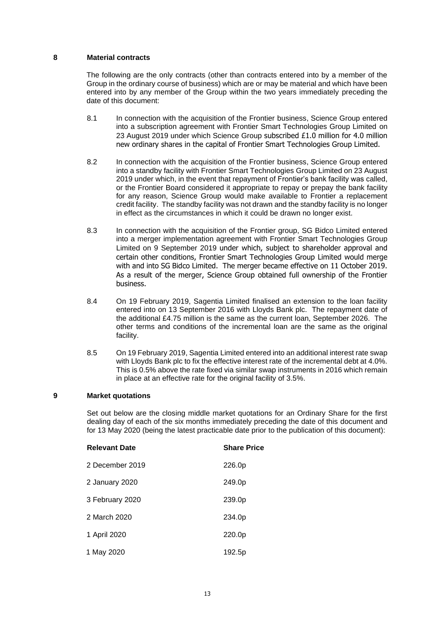#### **8 Material contracts**

The following are the only contracts (other than contracts entered into by a member of the Group in the ordinary course of business) which are or may be material and which have been entered into by any member of the Group within the two years immediately preceding the date of this document:

- 8.1 In connection with the acquisition of the Frontier business, Science Group entered into a subscription agreement with Frontier Smart Technologies Group Limited on 23 August 2019 under which Science Group subscribed £1.0 million for 4.0 million new ordinary shares in the capital of Frontier Smart Technologies Group Limited.
- 8.2 In connection with the acquisition of the Frontier business, Science Group entered into a standby facility with Frontier Smart Technologies Group Limited on 23 August 2019 under which, in the event that repayment of Frontier's bank facility was called, or the Frontier Board considered it appropriate to repay or prepay the bank facility for any reason, Science Group would make available to Frontier a replacement credit facility. The standby facility was not drawn and the standby facility is no longer in effect as the circumstances in which it could be drawn no longer exist.
- 8.3 In connection with the acquisition of the Frontier group, SG Bidco Limited entered into a merger implementation agreement with Frontier Smart Technologies Group Limited on 9 September 2019 under which, subject to shareholder approval and certain other conditions, Frontier Smart Technologies Group Limited would merge with and into SG Bidco Limited. The merger became effective on 11 October 2019. As a result of the merger, Science Group obtained full ownership of the Frontier business.
- 8.4 On 19 February 2019, Sagentia Limited finalised an extension to the loan facility entered into on 13 September 2016 with Lloyds Bank plc. The repayment date of the additional £4.75 million is the same as the current loan, September 2026. The other terms and conditions of the incremental loan are the same as the original facility.
- 8.5 On 19 February 2019, Sagentia Limited entered into an additional interest rate swap with Lloyds Bank plc to fix the effective interest rate of the incremental debt at 4.0%. This is 0.5% above the rate fixed via similar swap instruments in 2016 which remain in place at an effective rate for the original facility of 3.5%.

#### **9 Market quotations**

Set out below are the closing middle market quotations for an Ordinary Share for the first dealing day of each of the six months immediately preceding the date of this document and for 13 May 2020 (being the latest practicable date prior to the publication of this document):

| <b>Relevant Date</b> | <b>Share Price</b> |
|----------------------|--------------------|
| 2 December 2019      | 226.0p             |
| 2 January 2020       | 249.0p             |
| 3 February 2020      | 239.0p             |
| 2 March 2020         | 234.0p             |
| 1 April 2020         | 220.0p             |
| 1 May 2020           | 192.5p             |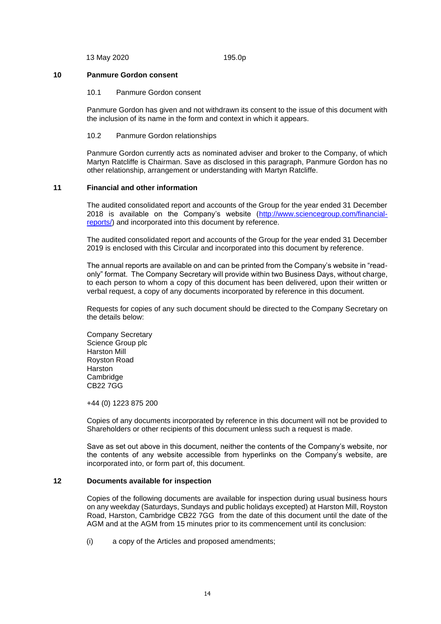13 May 2020 195.0p

#### **10 Panmure Gordon consent**

#### 10.1 Panmure Gordon consent

Panmure Gordon has given and not withdrawn its consent to the issue of this document with the inclusion of its name in the form and context in which it appears.

#### 10.2 Panmure Gordon relationships

Panmure Gordon currently acts as nominated adviser and broker to the Company, of which Martyn Ratcliffe is Chairman. Save as disclosed in this paragraph, Panmure Gordon has no other relationship, arrangement or understanding with Martyn Ratcliffe.

#### **11 Financial and other information**

The audited consolidated report and accounts of the Group for the year ended 31 December 2018 is available on the Company's website [\(http://www.sciencegroup.com/financial](http://www.sciencegroup.com/financial-reports/)[reports/\)](http://www.sciencegroup.com/financial-reports/) and incorporated into this document by reference.

The audited consolidated report and accounts of the Group for the year ended 31 December 2019 is enclosed with this Circular and incorporated into this document by reference.

The annual reports are available on and can be printed from the Company's website in "readonly" format. The Company Secretary will provide within two Business Days, without charge, to each person to whom a copy of this document has been delivered, upon their written or verbal request, a copy of any documents incorporated by reference in this document.

Requests for copies of any such document should be directed to the Company Secretary on the details below:

Company Secretary Science Group plc Harston Mill Royston Road Harston Cambridge CB22 7GG

+44 (0) 1223 875 200

Copies of any documents incorporated by reference in this document will not be provided to Shareholders or other recipients of this document unless such a request is made.

Save as set out above in this document, neither the contents of the Company's website, nor the contents of any website accessible from hyperlinks on the Company's website, are incorporated into, or form part of, this document.

#### **12 Documents available for inspection**

Copies of the following documents are available for inspection during usual business hours on any weekday (Saturdays, Sundays and public holidays excepted) at Harston Mill, Royston Road, Harston, Cambridge CB22 7GG from the date of this document until the date of the AGM and at the AGM from 15 minutes prior to its commencement until its conclusion:

(i) a copy of the Articles and proposed amendments;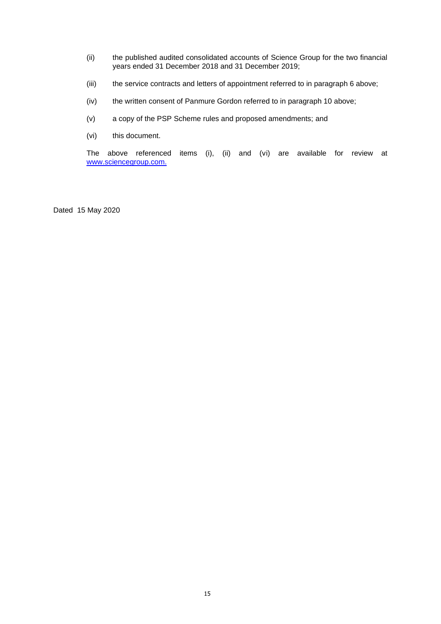- (ii) the published audited consolidated accounts of Science Group for the two financial years ended 31 December 2018 and 31 December 2019;
- (iii) the service contracts and letters of appointment referred to in paragraph 6 above;
- (iv) the written consent of Panmure Gordon referred to in paragraph 10 above;
- (v) a copy of the PSP Scheme rules and proposed amendments; and
- (vi) this document.

The above referenced items (i), (ii) and (vi) are available for review at [www.sciencegroup.com.](http://www.sciencegroup.com/)

Dated 15 May 2020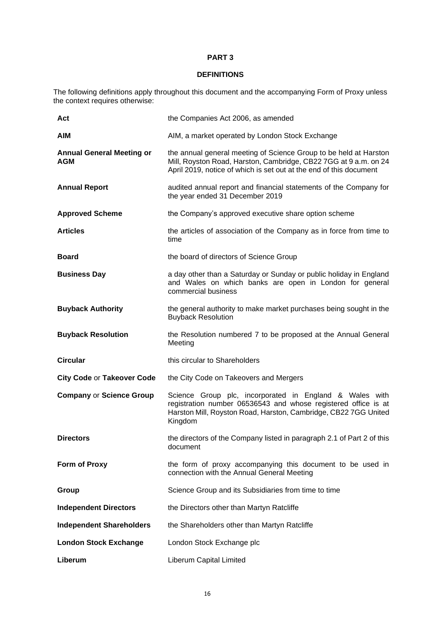# **DEFINITIONS**

The following definitions apply throughout this document and the accompanying Form of Proxy unless the context requires otherwise:

| Act                                            | the Companies Act 2006, as amended                                                                                                                                                                          |
|------------------------------------------------|-------------------------------------------------------------------------------------------------------------------------------------------------------------------------------------------------------------|
| <b>AIM</b>                                     | AIM, a market operated by London Stock Exchange                                                                                                                                                             |
| <b>Annual General Meeting or</b><br><b>AGM</b> | the annual general meeting of Science Group to be held at Harston<br>Mill, Royston Road, Harston, Cambridge, CB22 7GG at 9 a.m. on 24<br>April 2019, notice of which is set out at the end of this document |
| <b>Annual Report</b>                           | audited annual report and financial statements of the Company for<br>the year ended 31 December 2019                                                                                                        |
| <b>Approved Scheme</b>                         | the Company's approved executive share option scheme                                                                                                                                                        |
| <b>Articles</b>                                | the articles of association of the Company as in force from time to<br>time                                                                                                                                 |
| <b>Board</b>                                   | the board of directors of Science Group                                                                                                                                                                     |
| <b>Business Day</b>                            | a day other than a Saturday or Sunday or public holiday in England<br>and Wales on which banks are open in London for general<br>commercial business                                                        |
| <b>Buyback Authority</b>                       | the general authority to make market purchases being sought in the<br><b>Buyback Resolution</b>                                                                                                             |
| <b>Buyback Resolution</b>                      | the Resolution numbered 7 to be proposed at the Annual General<br>Meeting                                                                                                                                   |
| <b>Circular</b>                                | this circular to Shareholders                                                                                                                                                                               |
| <b>City Code or Takeover Code</b>              | the City Code on Takeovers and Mergers                                                                                                                                                                      |
| <b>Company or Science Group</b>                | Science Group plc, incorporated in England & Wales with<br>registration number 06536543 and whose registered office is at<br>Harston Mill, Royston Road, Harston, Cambridge, CB22 7GG United<br>Kingdom     |
| <b>Directors</b>                               | the directors of the Company listed in paragraph 2.1 of Part 2 of this<br>document                                                                                                                          |
| Form of Proxy                                  | the form of proxy accompanying this document to be used in<br>connection with the Annual General Meeting                                                                                                    |
| Group                                          | Science Group and its Subsidiaries from time to time                                                                                                                                                        |
| <b>Independent Directors</b>                   | the Directors other than Martyn Ratcliffe                                                                                                                                                                   |
| <b>Independent Shareholders</b>                | the Shareholders other than Martyn Ratcliffe                                                                                                                                                                |
| <b>London Stock Exchange</b>                   | London Stock Exchange plc                                                                                                                                                                                   |
| Liberum                                        | Liberum Capital Limited                                                                                                                                                                                     |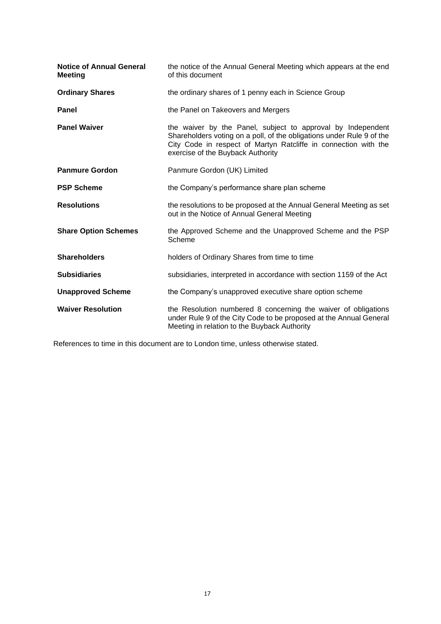| <b>Notice of Annual General</b><br><b>Meeting</b> | the notice of the Annual General Meeting which appears at the end<br>of this document                                                                                                                                                        |
|---------------------------------------------------|----------------------------------------------------------------------------------------------------------------------------------------------------------------------------------------------------------------------------------------------|
| <b>Ordinary Shares</b>                            | the ordinary shares of 1 penny each in Science Group                                                                                                                                                                                         |
| <b>Panel</b>                                      | the Panel on Takeovers and Mergers                                                                                                                                                                                                           |
| <b>Panel Waiver</b>                               | the waiver by the Panel, subject to approval by Independent<br>Shareholders voting on a poll, of the obligations under Rule 9 of the<br>City Code in respect of Martyn Ratcliffe in connection with the<br>exercise of the Buyback Authority |
| <b>Panmure Gordon</b>                             | Panmure Gordon (UK) Limited                                                                                                                                                                                                                  |
| <b>PSP Scheme</b>                                 | the Company's performance share plan scheme                                                                                                                                                                                                  |
| <b>Resolutions</b>                                | the resolutions to be proposed at the Annual General Meeting as set<br>out in the Notice of Annual General Meeting                                                                                                                           |
| <b>Share Option Schemes</b>                       | the Approved Scheme and the Unapproved Scheme and the PSP<br>Scheme                                                                                                                                                                          |
| <b>Shareholders</b>                               | holders of Ordinary Shares from time to time                                                                                                                                                                                                 |
| <b>Subsidiaries</b>                               | subsidiaries, interpreted in accordance with section 1159 of the Act                                                                                                                                                                         |
| <b>Unapproved Scheme</b>                          | the Company's unapproved executive share option scheme                                                                                                                                                                                       |
| <b>Waiver Resolution</b>                          | the Resolution numbered 8 concerning the waiver of obligations<br>under Rule 9 of the City Code to be proposed at the Annual General<br>Meeting in relation to the Buyback Authority                                                         |

References to time in this document are to London time, unless otherwise stated.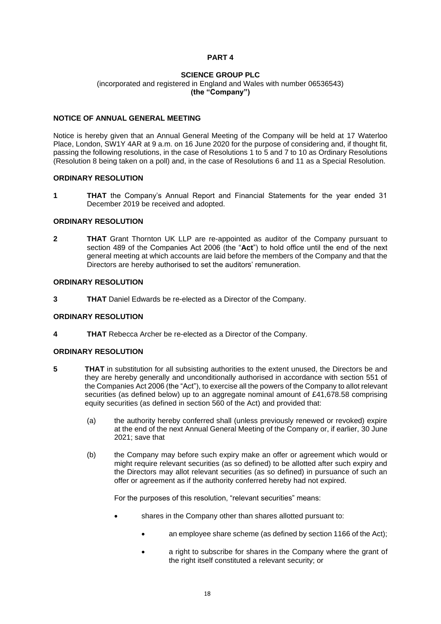# **SCIENCE GROUP PLC**

(incorporated and registered in England and Wales with number 06536543) **(the "Company")**

# **NOTICE OF ANNUAL GENERAL MEETING**

Notice is hereby given that an Annual General Meeting of the Company will be held at 17 Waterloo Place, London, SW1Y 4AR at 9 a.m. on 16 June 2020 for the purpose of considering and, if thought fit, passing the following resolutions, in the case of Resolutions 1 to 5 and 7 to 10 as Ordinary Resolutions (Resolution 8 being taken on a poll) and, in the case of Resolutions 6 and 11 as a Special Resolution.

#### **ORDINARY RESOLUTION**

**1 THAT** the Company's Annual Report and Financial Statements for the year ended 31 December 2019 be received and adopted.

#### **ORDINARY RESOLUTION**

**2 THAT** Grant Thornton UK LLP are re-appointed as auditor of the Company pursuant to section 489 of the Companies Act 2006 (the "**Act**") to hold office until the end of the next general meeting at which accounts are laid before the members of the Company and that the Directors are hereby authorised to set the auditors' remuneration.

#### **ORDINARY RESOLUTION**

**3 THAT** Daniel Edwards be re-elected as a Director of the Company.

#### **ORDINARY RESOLUTION**

**4 THAT** Rebecca Archer be re-elected as a Director of the Company.

#### **ORDINARY RESOLUTION**

- **5 THAT** in substitution for all subsisting authorities to the extent unused, the Directors be and they are hereby generally and unconditionally authorised in accordance with section 551 of the Companies Act 2006 (the "Act"), to exercise all the powers of the Company to allot relevant securities (as defined below) up to an aggregate nominal amount of £41,678.58 comprising equity securities (as defined in section 560 of the Act) and provided that:
	- (a) the authority hereby conferred shall (unless previously renewed or revoked) expire at the end of the next Annual General Meeting of the Company or, if earlier, 30 June 2021; save that
	- (b) the Company may before such expiry make an offer or agreement which would or might require relevant securities (as so defined) to be allotted after such expiry and the Directors may allot relevant securities (as so defined) in pursuance of such an offer or agreement as if the authority conferred hereby had not expired.

For the purposes of this resolution, "relevant securities" means:

- shares in the Company other than shares allotted pursuant to:
	- an employee share scheme (as defined by section 1166 of the Act):
	- a right to subscribe for shares in the Company where the grant of the right itself constituted a relevant security; or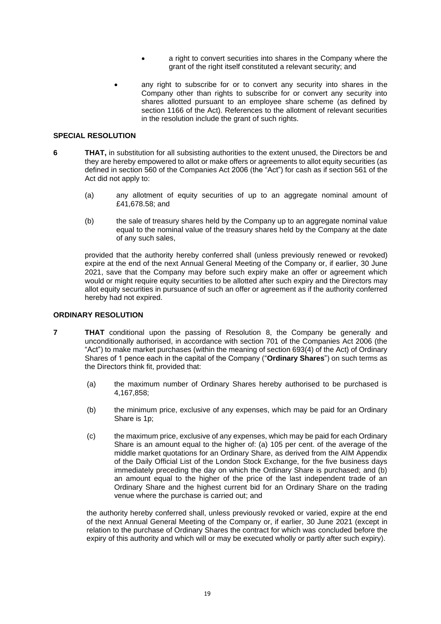- a right to convert securities into shares in the Company where the grant of the right itself constituted a relevant security; and
- any right to subscribe for or to convert any security into shares in the Company other than rights to subscribe for or convert any security into shares allotted pursuant to an employee share scheme (as defined by section 1166 of the Act). References to the allotment of relevant securities in the resolution include the grant of such rights.

## **SPECIAL RESOLUTION**

- **6 THAT,** in substitution for all subsisting authorities to the extent unused, the Directors be and they are hereby empowered to allot or make offers or agreements to allot equity securities (as defined in section 560 of the Companies Act 2006 (the "Act") for cash as if section 561 of the Act did not apply to:
	- (a) any allotment of equity securities of up to an aggregate nominal amount of £41,678.58; and
	- (b) the sale of treasury shares held by the Company up to an aggregate nominal value equal to the nominal value of the treasury shares held by the Company at the date of any such sales,

provided that the authority hereby conferred shall (unless previously renewed or revoked) expire at the end of the next Annual General Meeting of the Company or, if earlier, 30 June 2021, save that the Company may before such expiry make an offer or agreement which would or might require equity securities to be allotted after such expiry and the Directors may allot equity securities in pursuance of such an offer or agreement as if the authority conferred hereby had not expired.

## **ORDINARY RESOLUTION**

- **7 THAT** conditional upon the passing of Resolution 8, the Company be generally and unconditionally authorised, in accordance with section 701 of the Companies Act 2006 (the "Act") to make market purchases (within the meaning of section 693(4) of the Act) of Ordinary Shares of 1 pence each in the capital of the Company ("**Ordinary Shares**") on such terms as the Directors think fit, provided that:
	- (a) the maximum number of Ordinary Shares hereby authorised to be purchased is 4,167,858;
	- (b) the minimum price, exclusive of any expenses, which may be paid for an Ordinary Share is 1p;
	- (c) the maximum price, exclusive of any expenses, which may be paid for each Ordinary Share is an amount equal to the higher of: (a) 105 per cent. of the average of the middle market quotations for an Ordinary Share, as derived from the AIM Appendix of the Daily Official List of the London Stock Exchange, for the five business days immediately preceding the day on which the Ordinary Share is purchased; and (b) an amount equal to the higher of the price of the last independent trade of an Ordinary Share and the highest current bid for an Ordinary Share on the trading venue where the purchase is carried out; and

the authority hereby conferred shall, unless previously revoked or varied, expire at the end of the next Annual General Meeting of the Company or, if earlier, 30 June 2021 (except in relation to the purchase of Ordinary Shares the contract for which was concluded before the expiry of this authority and which will or may be executed wholly or partly after such expiry).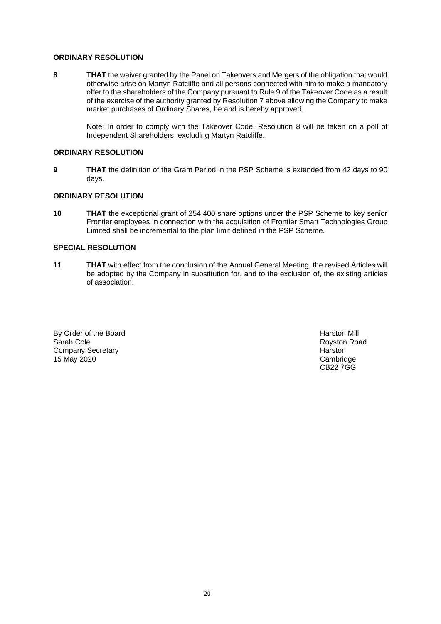## **ORDINARY RESOLUTION**

**8 THAT** the waiver granted by the Panel on Takeovers and Mergers of the obligation that would otherwise arise on Martyn Ratcliffe and all persons connected with him to make a mandatory offer to the shareholders of the Company pursuant to Rule 9 of the Takeover Code as a result of the exercise of the authority granted by Resolution 7 above allowing the Company to make market purchases of Ordinary Shares, be and is hereby approved.

> Note: In order to comply with the Takeover Code, Resolution 8 will be taken on a poll of Independent Shareholders, excluding Martyn Ratcliffe.

## **ORDINARY RESOLUTION**

**9 THAT** the definition of the Grant Period in the PSP Scheme is extended from 42 days to 90 days.

#### **ORDINARY RESOLUTION**

**10 THAT** the exceptional grant of 254,400 share options under the PSP Scheme to key senior Frontier employees in connection with the acquisition of Frontier Smart Technologies Group Limited shall be incremental to the plan limit defined in the PSP Scheme.

#### **SPECIAL RESOLUTION**

**11 THAT** with effect from the conclusion of the Annual General Meeting, the revised Articles will be adopted by the Company in substitution for, and to the exclusion of, the existing articles of association.

By Order of the Board **Harston Mill** Sarah Cole **Harston Mill** Sarah Cole **Harston Mill** Company Secretary **Harston Harston Harston** 15 May 2020 Cambridge

Royston Road CB22 7GG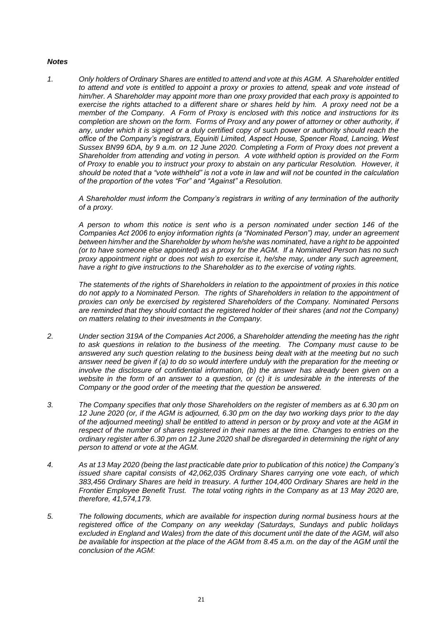## *Notes*

*1. Only holders of Ordinary Shares are entitled to attend and vote at this AGM. A Shareholder entitled to attend and vote is entitled to appoint a proxy or proxies to attend, speak and vote instead of him/her. A Shareholder may appoint more than one proxy provided that each proxy is appointed to exercise the rights attached to a different share or shares held by him. A proxy need not be a member of the Company. A Form of Proxy is enclosed with this notice and instructions for its completion are shown on the form. Forms of Proxy and any power of attorney or other authority, if any, under which it is signed or a duly certified copy of such power or authority should reach the office of the Company's registrars, Equiniti Limited, Aspect House, Spencer Road, Lancing, West Sussex BN99 6DA, by 9 a.m. on 12 June 2020. Completing a Form of Proxy does not prevent a Shareholder from attending and voting in person. A vote withheld option is provided on the Form of Proxy to enable you to instruct your proxy to abstain on any particular Resolution. However, it should be noted that a "vote withheld" is not a vote in law and will not be counted in the calculation of the proportion of the votes "For" and "Against" a Resolution.*

*A Shareholder must inform the Company's registrars in writing of any termination of the authority of a proxy.*

*A person to whom this notice is sent who is a person nominated under section 146 of the Companies Act 2006 to enjoy information rights (a "Nominated Person") may, under an agreement*  between him/her and the Shareholder by whom he/she was nominated, have a right to be appointed *(or to have someone else appointed) as a proxy for the AGM. If a Nominated Person has no such proxy appointment right or does not wish to exercise it, he/she may, under any such agreement, have a right to give instructions to the Shareholder as to the exercise of voting rights.*

*The statements of the rights of Shareholders in relation to the appointment of proxies in this notice do not apply to a Nominated Person. The rights of Shareholders in relation to the appointment of proxies can only be exercised by registered Shareholders of the Company. Nominated Persons are reminded that they should contact the registered holder of their shares (and not the Company) on matters relating to their investments in the Company.*

- *2. Under section 319A of the Companies Act 2006, a Shareholder attending the meeting has the right to ask questions in relation to the business of the meeting. The Company must cause to be answered any such question relating to the business being dealt with at the meeting but no such answer need be given if (a) to do so would interfere unduly with the preparation for the meeting or involve the disclosure of confidential information, (b) the answer has already been given on a*  website in the form of an answer to a question, or (c) it is undesirable in the interests of the *Company or the good order of the meeting that the question be answered.*
- *3. The Company specifies that only those Shareholders on the register of members as at 6.30 pm on 12 June 2020 (or, if the AGM is adjourned, 6.30 pm on the day two working days prior to the day of the adjourned meeting) shall be entitled to attend in person or by proxy and vote at the AGM in respect of the number of shares registered in their names at the time. Changes to entries on the ordinary register after 6.30 pm on 12 June 2020 shall be disregarded in determining the right of any person to attend or vote at the AGM.*
- *4. As at 13 May 2020 (being the last practicable date prior to publication of this notice) the Company's issued share capital consists of 42,062,035 Ordinary Shares carrying one vote each, of which 383,456 Ordinary Shares are held in treasury. A further 104,400 Ordinary Shares are held in the Frontier Employee Benefit Trust. The total voting rights in the Company as at 13 May 2020 are, therefore, 41,574,179.*
- *5. The following documents, which are available for inspection during normal business hours at the registered office of the Company on any weekday (Saturdays, Sundays and public holidays excluded in England and Wales) from the date of this document until the date of the AGM, will also be available for inspection at the place of the AGM from 8.45 a.m. on the day of the AGM until the conclusion of the AGM:*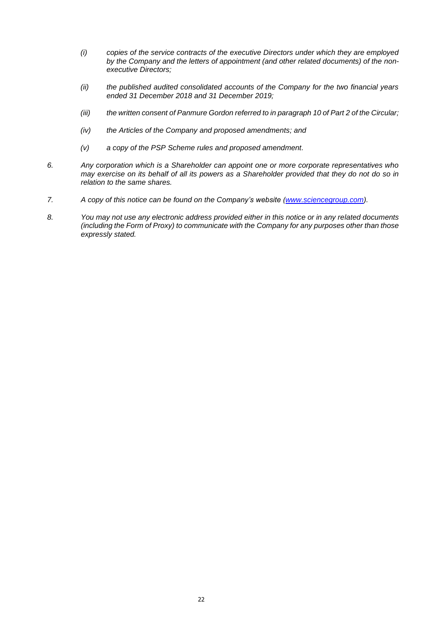- *(i) copies of the service contracts of the executive Directors under which they are employed by the Company and the letters of appointment (and other related documents) of the nonexecutive Directors;*
- *(ii) the published audited consolidated accounts of the Company for the two financial years ended 31 December 2018 and 31 December 2019;*
- *(iii) the written consent of Panmure Gordon referred to in paragraph 10 of Part 2 of the Circular;*
- *(iv) the Articles of the Company and proposed amendments; and*
- *(v) a copy of the PSP Scheme rules and proposed amendment.*
- *6. Any corporation which is a Shareholder can appoint one or more corporate representatives who may exercise on its behalf of all its powers as a Shareholder provided that they do not do so in relation to the same shares.*
- *7. A copy of this notice can be found on the Company's website [\(www.sciencegroup.com\)](http://www.sciencegroup.com/)*.
- *8. You may not use any electronic address provided either in this notice or in any related documents (including the Form of Proxy) to communicate with the Company for any purposes other than those expressly stated.*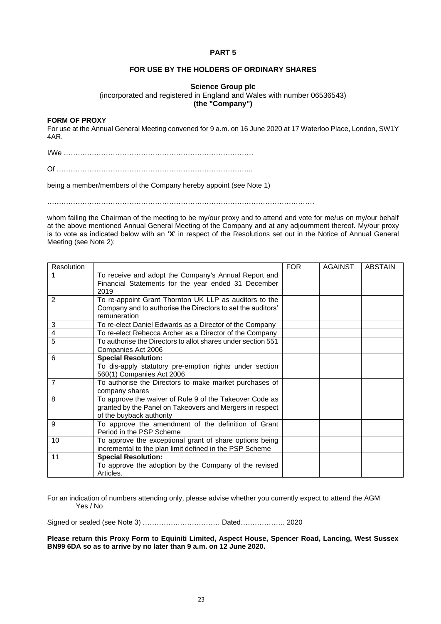# **FOR USE BY THE HOLDERS OF ORDINARY SHARES**

## **Science Group plc**

(incorporated and registered in England and Wales with number 06536543)

**(the "Company")**

#### **FORM OF PROXY**

For use at the Annual General Meeting convened for 9 a.m. on 16 June 2020 at 17 Waterloo Place, London, SW1Y 4AR.

I/We ………………………………………………………………………

Of ………………………………………………………………………...

being a member/members of the Company hereby appoint (see Note 1)

whom failing the Chairman of the meeting to be my/our proxy and to attend and vote for me/us on my/our behalf at the above mentioned Annual General Meeting of the Company and at any adjournment thereof. My/our proxy is to vote as indicated below with an '**X**' in respect of the Resolutions set out in the Notice of Annual General Meeting (see Note 2):

| Resolution     |                                                                                                                                                 | <b>FOR</b> | <b>AGAINST</b> | <b>ABSTAIN</b> |
|----------------|-------------------------------------------------------------------------------------------------------------------------------------------------|------------|----------------|----------------|
|                | To receive and adopt the Company's Annual Report and<br>Financial Statements for the year ended 31 December<br>2019                             |            |                |                |
| 2              | To re-appoint Grant Thornton UK LLP as auditors to the<br>Company and to authorise the Directors to set the auditors'<br>remuneration           |            |                |                |
| 3              | To re-elect Daniel Edwards as a Director of the Company                                                                                         |            |                |                |
| 4              | To re-elect Rebecca Archer as a Director of the Company                                                                                         |            |                |                |
| 5              | To authorise the Directors to allot shares under section 551<br>Companies Act 2006                                                              |            |                |                |
| 6              | <b>Special Resolution:</b><br>To dis-apply statutory pre-emption rights under section<br>560(1) Companies Act 2006                              |            |                |                |
| $\overline{7}$ | To authorise the Directors to make market purchases of<br>company shares                                                                        |            |                |                |
| 8              | To approve the waiver of Rule 9 of the Takeover Code as<br>granted by the Panel on Takeovers and Mergers in respect<br>of the buyback authority |            |                |                |
| 9              | To approve the amendment of the definition of Grant<br>Period in the PSP Scheme                                                                 |            |                |                |
| 10             | To approve the exceptional grant of share options being<br>incremental to the plan limit defined in the PSP Scheme                              |            |                |                |
| 11             | <b>Special Resolution:</b><br>To approve the adoption by the Company of the revised<br>Articles.                                                |            |                |                |

For an indication of numbers attending only, please advise whether you currently expect to attend the AGM Yes / No

Signed or sealed (see Note 3) …………………………… Dated………………. 2020

**Please return this Proxy Form to Equiniti Limited, Aspect House, Spencer Road, Lancing, West Sussex BN99 6DA so as to arrive by no later than 9 a.m. on 12 June 2020.**